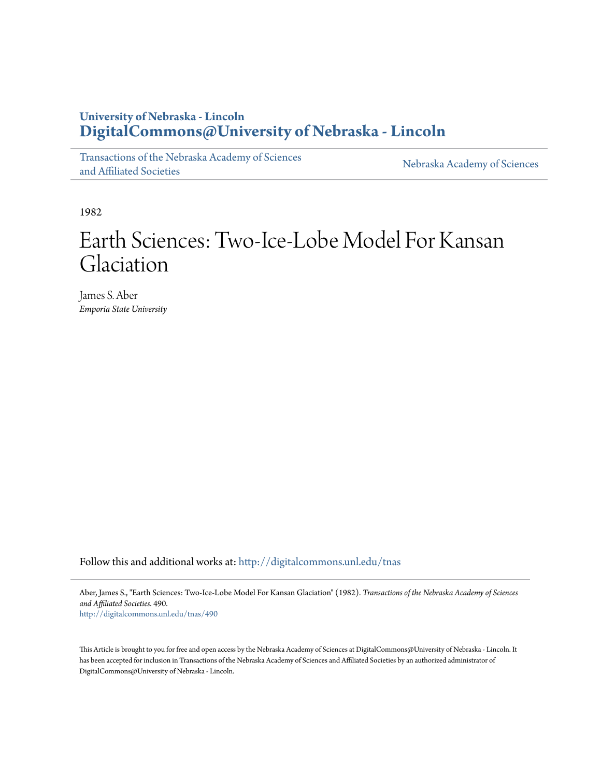## **University of Nebraska - Lincoln [DigitalCommons@University of Nebraska - Lincoln](http://digitalcommons.unl.edu?utm_source=digitalcommons.unl.edu%2Ftnas%2F490&utm_medium=PDF&utm_campaign=PDFCoverPages)**

[Transactions of the Nebraska Academy of Sciences](http://digitalcommons.unl.edu/tnas?utm_source=digitalcommons.unl.edu%2Ftnas%2F490&utm_medium=PDF&utm_campaign=PDFCoverPages) [and Affiliated Societies](http://digitalcommons.unl.edu/tnas?utm_source=digitalcommons.unl.edu%2Ftnas%2F490&utm_medium=PDF&utm_campaign=PDFCoverPages)

[Nebraska Academy of Sciences](http://digitalcommons.unl.edu/nebacadsci?utm_source=digitalcommons.unl.edu%2Ftnas%2F490&utm_medium=PDF&utm_campaign=PDFCoverPages)

1982

# Earth Sciences: Two-Ice-Lobe Model For Kansan Glaciation

James S. Aber *Emporia State University*

Follow this and additional works at: [http://digitalcommons.unl.edu/tnas](http://digitalcommons.unl.edu/tnas?utm_source=digitalcommons.unl.edu%2Ftnas%2F490&utm_medium=PDF&utm_campaign=PDFCoverPages)

Aber, James S., "Earth Sciences: Two-Ice-Lobe Model For Kansan Glaciation" (1982). *Transactions of the Nebraska Academy of Sciences and Affiliated Societies*. 490. [http://digitalcommons.unl.edu/tnas/490](http://digitalcommons.unl.edu/tnas/490?utm_source=digitalcommons.unl.edu%2Ftnas%2F490&utm_medium=PDF&utm_campaign=PDFCoverPages)

This Article is brought to you for free and open access by the Nebraska Academy of Sciences at DigitalCommons@University of Nebraska - Lincoln. It has been accepted for inclusion in Transactions of the Nebraska Academy of Sciences and Affiliated Societies by an authorized administrator of DigitalCommons@University of Nebraska - Lincoln.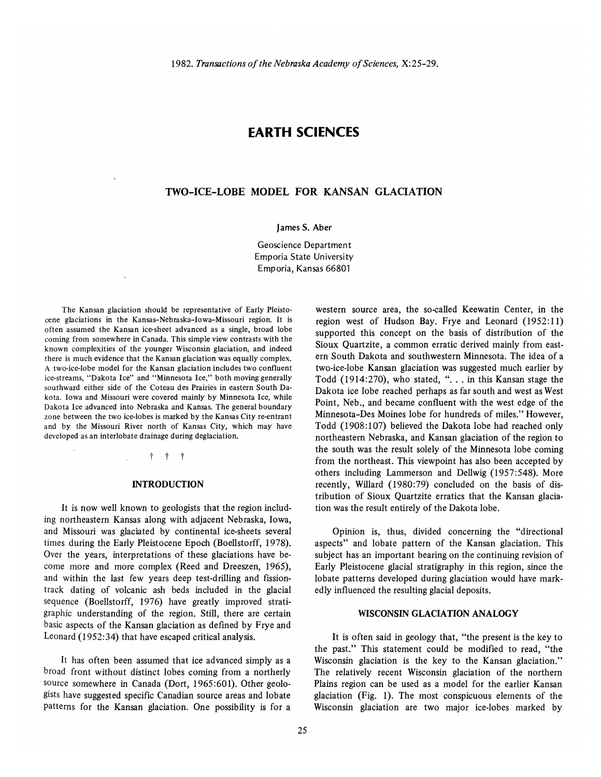### **EARTH SCIENCES**

#### **TWO-ICE-LOBE MODEL FOR KANSAN GLACIATION**

James S. Aber

Geoscience Department Emporia State University Emporia, Kansas 66801

The Kansan glaciation should be representative of Early Pleistocene glaciations in the Kansas-Nebraska-Iowa-Missouri region. It is often assumed the Kansan ice-sheet advanced as a single, broad lobe coming from somewhere in Canada. This simple view contrasts with the known complexities of the younger Wisconsin glaciation, and indeed there is much evidence that the Kansan glaciation was equally complex. A two-ice-Iobe model for the Kansan glaciation includes two confluent ice-streams, "Dakota Ice" and "Minnesota Ice," both moving generally southward either side of the Coteau des Prairies in eastern South Dakota. Iowa and Missouri were covered mainly by Minnesota Ice, while Dakota Ice advanced into Nebraska and Kansas. The general boundary zone between the two ice-lobes is marked by the Kansas City re-entrant and by the Missouri River north of Kansas City, which may have developed as an interlobate drainage during deglaciation.

t t t

#### **INTRODUCTION**

It is now well known to geologists that the region including northeastern Kansas along with adjacent Nebraska, Iowa, and Missouri was glaciated by continental ice-sheets several times during the Early Pleistocene Epoch (Boellstorff, 1978). Over the years, interpretations of these glaciations have become more and more complex (Reed and Dreeszen, 1965), and within the last few years deep test-drilling and fissiontrack dating of volcanic ash beds included in the glacial sequence (Boellstorff, 1976) have greatly improved stratigraphic understanding of the region. Still, there are certain basic aspects of the Kansan glaciation as defined by Frye and Leonard (1952:34) that have escaped critical analysis.

It has often been assumed that ice advanced simply as a broad front without distinct lobes coming from a northerly Source somewhere in Canada (Dort, 1965:601). Other geologists have suggested specific Canadian source areas and lobate patterns for the Kansan glaciation. One possibility is for a

western source area, the so-called Keewatin Center, in the region west of Hudson Bay. Frye and Leonard (1952:11) supported this concept on the basis of distribution of the Sioux Quartzite, a common erratic derived mainly from eastern South Dakota and southwestern Minnesota. The idea of a two-ice-lobe Kansan glaciation was suggested much earlier by Todd  $(1914:270)$ , who stated, "... in this Kansan stage the Dakota ice lobe reached perhaps as far south and west as West Point, Neb., and became confluent with the west edge of the Minnesota-Des Moines lobe for hundreds of miles." However, Todd (1908:107) believed the Dakota lobe had reached only northeastern Nebraska, and Kansan glaciation of the region to the south was the result solely of the Minnesota lobe coming from the northeast. This viewpoint has also been accepted by others including Lammerson and Dellwig (1957:548). More recently, Willard (1980:79) concluded on the basis of distribution of Sioux Quartzite erratics that the Kansan glaciation was the result entirely of the Dakota lobe.

Opinion is, thus, divided concerning the "directional aspects" and lobate pattern of the Kansan glaciation. This subject has an important bearing on the continuing revision of Early Pleistocene glacial stratigraphy in this region, since the lobate patterns developed during glaciation would have markedly influenced the resulting glacial deposits.

#### **WISCONSIN GLACIATION ANALOGY**

It is often said in geology that, "the present is the key to the past." This statement could be modified to read, "the Wisconsin glaciation is the key to the Kansan glaciation." The relatively recent Wisconsin glaciation of the northern Plains region can be used as a model for the earlier Kansan glaciation (Fig. 1). The most conspicuous elements of the Wisconsin glaciation are two major ice-lobes marked by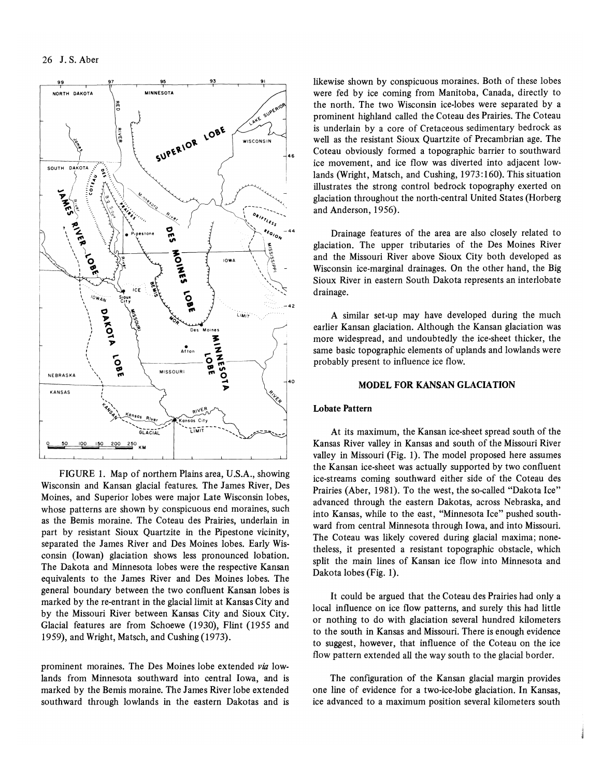

FIGURE 1. Map of northern Plains area, U.S.A., showing Wisconsin and Kansan glacial features. The James River, Des Moines, and Superior lobes were major Late Wisconsin lobes, whose patterns are shown by conspicuous end moraines, such as the Bemis moraine. The Coteau des Prairies, underlain in part by resistant Sioux Quartzite in the Pipestone vicinity, separated the James River and Des Moines lobes. Early Wisconsin (Iowan) glaciation shows less pronounced lobation. The Dakota and Minnesota lobes were the respective Kansan equivalents to the James River and Des Moines lobes. The general boundary between the two confluent Kansan lobes is marked by the re-entrant in the glacial limit at Kansas City and by the Missouri River between Kansas City and Sioux City. Glacial features are from Schoewe (1930), Flint (1955 and 1959), and Wright, Matsch, and Cushing (1973).

prominent moraines. The Des Moines lobe extended *via* lowlands from Minnesota southward into central Iowa, and is marked by the Bemis moraine. The James River lobe extended southward through lowlands in the eastern Dakotas and is likewise shown by conspicuous moraines. Both of these lobes were fed by ice coming from Manitoba, Canada, directly to the north. The two Wisconsin ice-lobes were separated by a prominent highland called the Coteau des Prairies. The Coteau is underlain by a core of Cretaceous sedimentary bedrock as well as the resistant Sioux Quartzite of Precambrian age. The Coteau obviously formed a topographic barrier to southward ice movement, and ice flow was diverted into adjacent lowlands (Wright, Matsch, and Cushing, 1973:160). This situation illustrates the strong control bedrock topography exerted on glaciation throughout the north-central United States (Horberg and Anderson, 1956).

Drainage features of the area are also closely related to glaciation. The upper tributaries of the Des Moines River and the Missouri River above Sioux City both developed as Wisconsin ice-marginal drainages. On the other hand, the Big Sioux River in eastern South Dakota represents an interlobate drainage.

A similar set-up may have developed during the much earlier Kansan glaciation. Although the Kansan glaciation was more widespread, and undoubtedly the ice-sheet thicker, the same basic topographic elements of uplands and lowlands were probably present to influence ice flow.

#### MODEL FOR KANSAN GLACIATION

#### Lobate Pattern

At its maximum, the Kansan ice-sheet spread south of the Kansas River valley in Kansas and south of the Missouri River valley in Missouri (Fig. 1). The model proposed here assumes the Kansan ice-sheet was actually supported by two confluent ice-streams coming southward either side of the Coteau des Prairies (Aber, 1981). To the west, the so-called "Dakota Ice" advanced through the eastern Dakotas, across Nebraska, and into Kansas, while to the east, "Minnesota Ice" pushed southward from central Minnesota through Iowa, and into Missouri. The Coteau was likely covered during glacial maxima; nonetheless, it presented a resistant topographic obstacle, which split the main lines of Kansan ice flow into Minnesota and Dakota lobes (Fig. 1).

It could be argued that the Coteau des Prairies had only a local influence on ice flow patterns, and surely this had little or nothing to do with glaciation several hundred kilometers to the south in Kansas and Missouri. There is enough evidence to suggest, however, that influence of the Coteau on the ice flow pattern extended all the way south to the glacial border.

The configuration of the Kansan glacial margin provides one line of evidence for a two-ice-lobe glaciation. In Kansas, ice advanced to a maximum position several kilometers south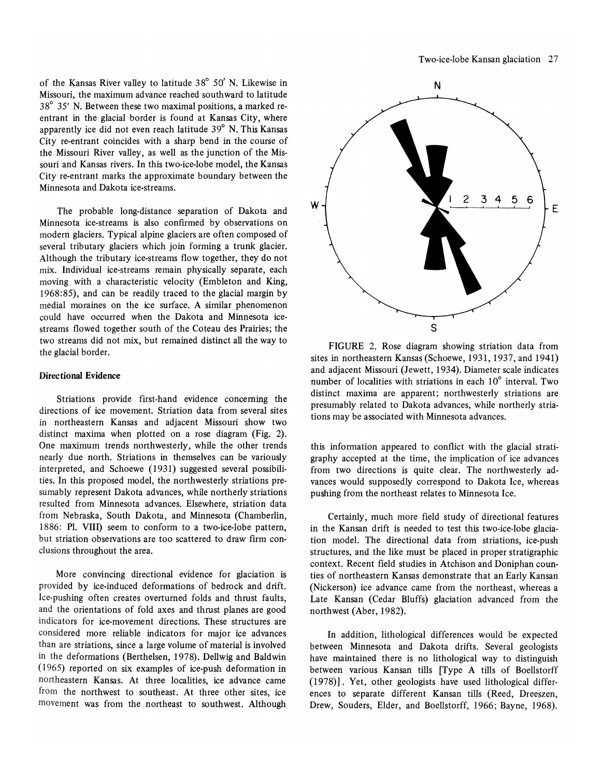of the Kansas River valley to latitude 38° 50' N. Likewise in Missouri, the maximum advance reached southward to latitude 38° 35' N. Between these two maximal positions, a marked reentrant in the glacial border is found at Kansas City, where apparently ice did not even reach latitude 39° N. This Kansas City re-entrant coincides with a sharp bend in the course of the Missouri River valley, as well as the junction of the Missouri and Kansas rivers. In this two-ice-lobe model, the Kansas City re-entrant marks the approximate boundary between the Minnesota and Dakota ice-streams.

The probable long-distance separation of Dakota and Minnesota ice-streams is also confirmed by observations on modern glaciers. Typical alpine glaciers are often composed of several tributary glaciers which join forming a trunk glacier. Although the tributary ice-streams flow together, they do not mix. Individual ice-streams remain physically separate, each moving with a characteristic velocity (Embleton and King, 1968:85), and can be readily traced to the glacial margin by medial moraines on the ice surface. A similar phenomenon could have occurred when the Dakota and Minnesota icestreams flowed together south of the Coteau des Prairies; the two streams did not mix, but remained distinct all the way to the glacial border.

#### Directional Evidence

Striations provide first-hand evidence concerning the directions of ice movement. Striation data from several sites in northeastern Kansas and adjacent Missouri show two distinct maxima when plotted on a rose diagram (Fig. 2). One maximum trends northwesterly, while the other trends nearly due north. Striations in themselves can be variously interpreted, and Schoewe (1931) suggested several possibilities. In this proposed model, the northwesterly striations presumably represent Dakota advances, while northerly striations resulted from Minnesota advances. Elsewhere, striation data from Nebraska, South Dakota, and Minnesota (Chamberlin, 1886: PI. VIII) seem to conform to a two-ice-lobe pattern, but striation observations are too scattered to draw firm conclusions throughout the area.

More convincing directional evidence for glaciation is provided by ice-induced deformations of bedrock and drift. Ice-pushing often creates overturned folds and thrust faults, and the orientations of fold axes and thrust planes are good indicators for ice-movement directions. These structures are considered more reliable indicators for major ice advances than are striations, since a large volume of material is involved in the deformations (Berthelsen, 1978). Dellwig and Baldwin (1965) reported on six examples of ice-push deformation in northeastern Kansas. At three localities, ice advance came from the northwest to southeast. At three other sites, ice movement was from the northeast to southwest. Although



FIGURE 2. Rose diagram showing striation data from sites in northeastern Kansas (Schoewe, 1931, 1937, and 1941) and adjacent Missouri (Jewett, 1934). Diameter scale indicates number of localities with striations in each 10° interval. Two distinct maxima are apparent; northwesterly striations are presumably related to Dakota advances, while northerly striations may be associated with Minnesota advances.

this information appeared to conflict with the glacial stratigraphy accepted at the time, the implication of ice advances from two directions is quite clear. The northwesterly advances would supposedly correspond to Dakota Ice, whereas pushing from the northeast relates to Minnesota Ice.

Certainly, much more field study of directional features in the Kansan drift is needed to test this two-ice-Iobe glaciation model. The directional data from striations, ice-push structures, and the like must be placed in proper stratigraphic context. Recent field studies in Atchison and Doniphan counties of northeastern Kansas demonstrate that an Early Kansan (Nickerson) ice advance came from the northeast, whereas a Late Kansan (Cedar Bluffs) glaciation advanced from the northwest (Aber, 1982).

In addition, lithological differences would be expected between Minnesota and Dakota drifts. Several geologists have maintained there is no lithological way to distinguish between various Kansan tills [Type A tills of Boellstorff (1978)]. Yet, other geologists have used lithological differences to separate different Kansan tills (Reed, Dreeszen, Drew, Souders, Elder, and Boellstorff, 1966; Bayne, 1968).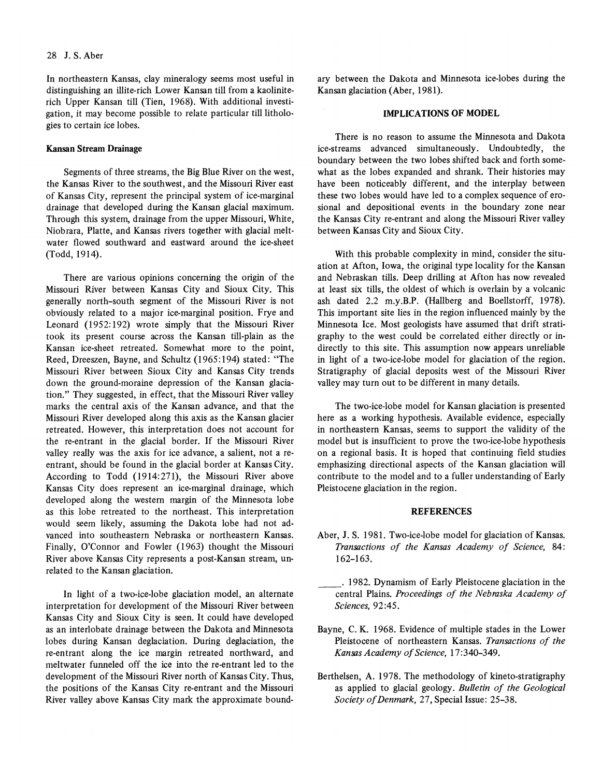In northeastern Kansas, clay mineralogy seems most useful in distinguishing an illite-rich Lower Kansan till from a kaoliniterich Upper Kansan till (Tien, 1968). With additional investigation, it may become possible to relate particular till lithologies to certain ice lobes.

#### Kansan Stream Drainage

Segments of three streams, the Big Blue River on the west, the Kansas River to the southwest, and the Missouri River east of Kansas City, represent the principal system of ice-marginal drainage that developed during the Kansan glacial maximum. Through this system, drainage from the upper Missouri, White, Niobrara, Platte, and Kansas rivers together with glacial meltwater flowed southward and eastward around the ice-sheet (Todd, 1914).

There are various opinions concerning the origin of the Missouri River between Kansas City and Sioux City. This generally north-south segment of the Missouri River is not obviously related to a major ice-marginal position. Frye and Leonard (1952: 192) wrote simply that the Missouri River took its present course across the Kansan till-plain as the Kansan ice-sheet retreated. Somewhat more to the point, Reed, Dreeszen, Bayne, and Schultz (1965:194) stated: "The Missouri River between Sioux City and Kansas City trends down the ground-moraine depression of the Kansan glaciation." They suggested, in effect, that the Missouri River valley marks the central axis of the Kansan advance, and that the Missouri River developed along this axis as the Kansan glacier retreated. However, this interpretation does not account for the re-entrant in the glacial border. If the Missouri River valley really was the axis for ice advance, a salient, not a reentrant, should be found in the glacial border at Kansas City. According to Todd (1914:271), the Missouri River above Kansas City does represent an ice-marginal drainage, which developed along the western margin of the Minnesota lobe as this lobe retreated to the northeast. This interpretation would seem likely, assuming the Dakota lobe had not advanced into southeastern Nebraska or northeastern Kansas. Finally, O'Connor and Fowler (1963) thought the Missouri River above Kansas City represents a post-Kansan stream, unrelated to the Kansan glaciation.

In light of a two-ice-Iobe glaciation model, an alternate interpretation for development of the Missouri River between Kansas City and Sioux City is seen. It could have developed as an interlobate drainage between the Dakota and Minnesota lobes during Kansan deglaciation. During deglaciation, the re-entrant along the ice margin retreated northward, and meltwater funneled off the ice into the re-entrant led to the development of the Missouri River north of Kansas City. Thus, the positions of the Kansas City re-entrant and the Missouri River valley above Kansas City mark the approximate boundary between the Dakota and Minnesota ice-lobes during the Kansan glaciation (Aber, 1981).

#### IMPLICATIONS OF MODEL

There is no reason to assume the Minnesota and Dakota ice-streams advanced simultaneously. Undoubtedly, the boundary between the two lobes shifted back and forth somewhat as the lobes expanded and shrank. Their histories may have been noticeably different, and the interplay between these two lobes would have led to a complex sequence of erosional and depositional events in the boundary zone near the Kansas City re-entrant and along the Missouri River valley between Kansas City and Sioux City.

With this probable complexity in mind, consider the situation at Afton, Iowa, the original type locality for the Kansan and Nebraskan tills. Deep drilling at Afton has now revealed at least six tills, the oldest of which is overlain by a volcanic ash dated 2.2 m.y.B.P. (Hallberg and Boellstorff, 1978). This important site lies in the region influenced mainly by the Minnesota Ice. Most geologists have assumed that drift stratigraphy to the west could be correlated either directly or indirectly to this site. This assumption now appears unreliable in light of a two-ice-Iobe model for glaciation of the region. Stratigraphy of glacial deposits west of the Missouri River valley may turn out to be different in many details.

The two-ice-Iobe model for Kansan glaciation is presented here as a working hypothesis. Available evidence, especially in northeastern Kansas, seems to support the validity of the model but is insufficient to prove the two-ice-Iobe hypothesis on a regional basis. It is hoped that continuing field studies emphasizing directional aspects of the Kansan glaciation will contribute to the model and to a fuller understanding of Early Pleistocene glaciation in the region.

#### REFERENCES

- Aber, J. S. 1981. Two-ice-Iobe model for glaciation of Kansas. *Transactions of the Kansas Academy of Science, 84:*  162-163.
- \_\_ . 1982. Dynamism of Early Pleistocene glaciation in the central Plains. Proceedings of the Nebraska Academy of *Sciences,* 92 :45.
- Bayne, C. K. 1968. Evidence of multiple stades in the Lower Pleistocene of northeastern Kansas. *Transactions of the Kansas Academy of Science, 17:340-349.*
- Berthelsen, A. 1978. The methodology of kineto-stratigraphy as applied to glacial geology. *Bulletin of the Geological Society of Denmark, 27, Special Issue: 25-38.*